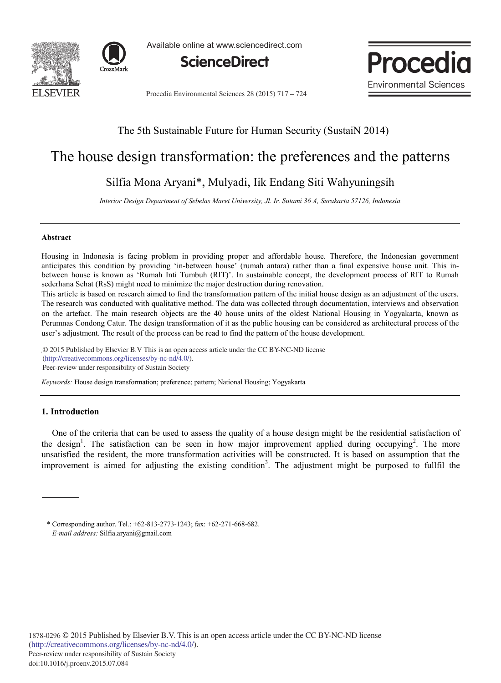



Available online at www.sciencedirect.com



**Procedia Environmental Sciences** 

Procedia Environmental Sciences 28 (2015) 717 – 724

## The 5th Sustainable Future for Human Security (SustaiN 2014)

# The house design transformation: the preferences and the patterns

## Silfia Mona Aryani\*, Mulyadi, Iik Endang Siti Wahyuningsih

*Interior Design Department of Sebelas Maret University, Jl. Ir. Sutami 36 A, Surakarta 57126, Indonesia* 

### **Abstract**

Housing in Indonesia is facing problem in providing proper and affordable house. Therefore, the Indonesian government anticipates this condition by providing 'in-between house' (rumah antara) rather than a final expensive house unit. This inbetween house is known as 'Rumah Inti Tumbuh (RIT)'. In sustainable concept, the development process of RIT to Rumah sederhana Sehat (RsS) might need to minimize the major destruction during renovation.

This article is based on research aimed to find the transformation pattern of the initial house design as an adjustment of the users. The research was conducted with qualitative method. The data was collected through documentation, interviews and observation on the artefact. The main research objects are the 40 house units of the oldest National Housing in Yogyakarta, known as Perumnas Condong Catur. The design transformation of it as the public housing can be considered as architectural process of the user's adjustment. The result of the process can be read to find the pattern of the house development.

© 2015 Published by Elsevier B.V. This is an open access article under the CC BY-NC-ND license (http://creativecommons.org/licenses/by-nc-nd/4.0/).<br>Description of the responsibility of Sustain Society. Peer-review under responsibility of Sustain Society

*Keywords:* House design transformation; preference; pattern; National Housing; Yogyakarta

### **1. Introduction**

One of the criteria that can be used to assess the quality of a house design might be the residential satisfaction of the design<sup>1</sup>. The satisfaction can be seen in how major improvement applied during occupying<sup>2</sup>. The more unsatisfied the resident, the more transformation activities will be constructed. It is based on assumption that the improvement is aimed for adjusting the existing condition<sup>3</sup>. The adjustment might be purposed to fullfil the

<sup>\*</sup> Corresponding author. Tel.: +62-813-2773-1243; fax: +62-271-668-682. *E-mail address:* Silfia.aryani@gmail.com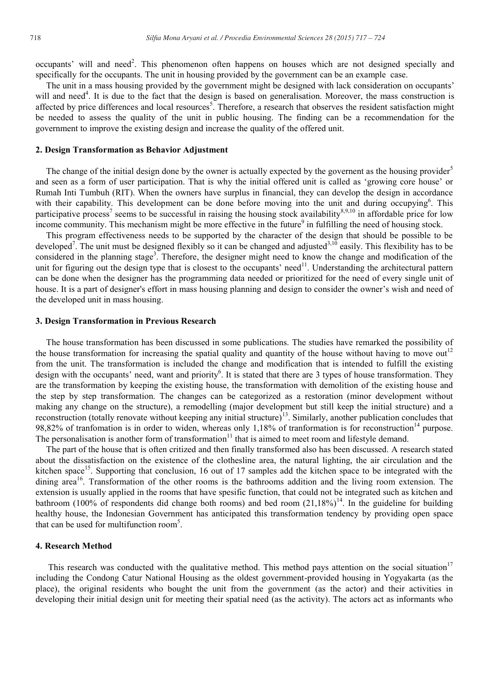occupants' will and need<sup>2</sup>. This phenomenon often happens on houses which are not designed specially and specifically for the occupants. The unit in housing provided by the government can be an example case.

The unit in a mass housing provided by the government might be designed with lack consideration on occupants' will and need<sup>4</sup>. It is due to the fact that the design is based on generalisation. Moreover, the mass construction is affected by price differences and local resources<sup>5</sup>. Therefore, a research that observes the resident satisfaction might be needed to assess the quality of the unit in public housing. The finding can be a recommendation for the government to improve the existing design and increase the quality of the offered unit.

#### **2. Design Transformation as Behavior Adjustment**

The change of the initial design done by the owner is actually expected by the governent as the housing provider<sup>5</sup> and seen as a form of user participation. That is why the initial offered unit is called as 'growing core house' or Rumah Inti Tumbuh (RIT). When the owners have surplus in financial, they can develop the design in accordance with their capability. This development can be done before moving into the unit and during occupying<sup>6</sup>. This participative process<sup>7</sup> seems to be successful in raising the housing stock availability<sup>8,9,10</sup> in affordable price for low income community. This mechanism might be more effective in the future<sup>9</sup> in fulfilling the need of housing stock.

This program effectiveness needs to be supported by the character of the design that should be possible to be developed<sup>7</sup>. The unit must be designed flexibly so it can be changed and adjusted<sup>3,10</sup> easily. This flexibility has to be considered in the planning stage<sup>3</sup>. Therefore, the designer might need to know the change and modification of the unit for figuring out the design type that is closest to the occupants' need $^{11}$ . Understanding the architectural pattern can be done when the designer has the programming data needed or prioritized for the need of every single unit of house. It is a part of designer's effort in mass housing planning and design to consider the owner's wish and need of the developed unit in mass housing.

#### **3. Design Transformation in Previous Research**

The house transformation has been discussed in some publications. The studies have remarked the possibility of the house transformation for increasing the spatial quality and quantity of the house without having to move out<sup>12</sup> from the unit. The transformation is included the change and modification that is intended to fulfill the existing design with the occupants' need, want and priority<sup>6</sup>. It is stated that there are 3 types of house transformation. They are the transformation by keeping the existing house, the transformation with demolition of the existing house and the step by step transformation. The changes can be categorized as a restoration (minor development without making any change on the structure), a remodelling (major development but still keep the initial structure) and a reconstruction (totally renovate without keeping any initial structure)<sup>13</sup>. Similarly, another publication concludes that 98,82% of tranfomation is in order to widen, whereas only 1,18% of tranformation is for reconstruction<sup>14</sup> purpose. The personalisation is another form of transformation $11$  that is aimed to meet room and lifestyle demand.

The part of the house that is often critized and then finally transformed also has been discussed. A research stated about the dissatisfaction on the existence of the clothesline area, the natural lighting, the air circulation and the kitchen space<sup>15</sup>. Supporting that conclusion, 16 out of 17 samples add the kitchen space to be integrated with the dining area<sup>16</sup>. Transformation of the other rooms is the bathrooms addition and the living room extension. The extension is usually applied in the rooms that have spesific function, that could not be integrated such as kitchen and bathroom (100% of respondents did change both rooms) and bed room (21,18%)<sup>14</sup>. In the guideline for building healthy house, the Indonesian Government has anticipated this transformation tendency by providing open space that can be used for multifunction room<sup>5</sup>.

#### **4. Research Method**

This research was conducted with the qualitative method. This method pays attention on the social situation<sup>17</sup> including the Condong Catur National Housing as the oldest government-provided housing in Yogyakarta (as the place), the original residents who bought the unit from the government (as the actor) and their activities in developing their initial design unit for meeting their spatial need (as the activity). The actors act as informants who